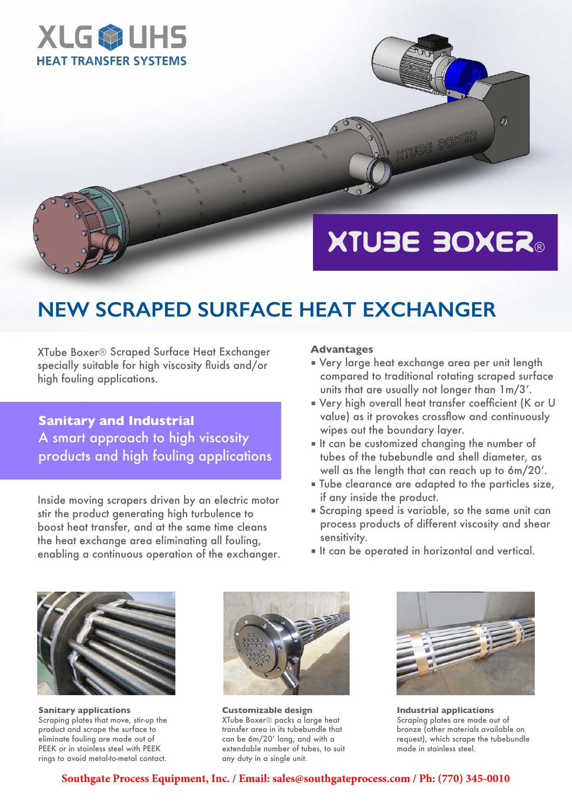

# XTUBE BOXER®

**XTUBE BOXER** 

 $\overline{\mathcal{D}}$ 

## **NEW SCRAPED SURFACE HEAT EXCHANGER**

XTube Boxer® Scraped Surface Heat Exchanger specially suitable for high viscosity fluids and/or high fouling applications.

**Sanitary and Industrial**  A smart approach to high viscosity products and high fouling applications

Inside moving scrapers driven by an electric motor stir the product generating high turbulence to boost heat transfer, and at the same time cleans the heat exchange area eliminating all fouling, enabling a continuous operation of the exchanger.

#### **Advantages**

- Very large heat exchange area per unit length compared to traditional rotating scraped surface units that are usually not longer than 1m/3'.
- Very high overall heat transfer coefficient (K or U value) as it provokes crossflow and continuously wipes out the boundary layer.
- It can be customized changing the number of tubes of the tubebundle and shell diameter, as well as the length that can reach up to 6m/20'.
- Tube clearance are adapted to the particles size, if any inside the product.
- Scraping speed is variable, so the same unit can process products of different viscosity and shear sensitivity.
- It can be operated in horizontal and vertical.



**Sanitary applications** Scraping plates that move, stir-up the product and scrape the surface to eliminate fouling are made out of PEEK or in stainless steel with PEEK rings to avoid metal-to-metal contact.



**Customizable design** XTube Boxer® packs a large heat transfer area in its tubebundle that can be 6m/20' long, and with a extendable number of tubes, to suit any duty in a single unit.



**Industrial applications** Scraping plates are made out of bronze (other materials available on request), which scrape the tubebundle made in stainless steel.

**Southgate Process Equipment, Inc. / Email: sales@southgateprocess.com / Ph: (770) 345-0010**